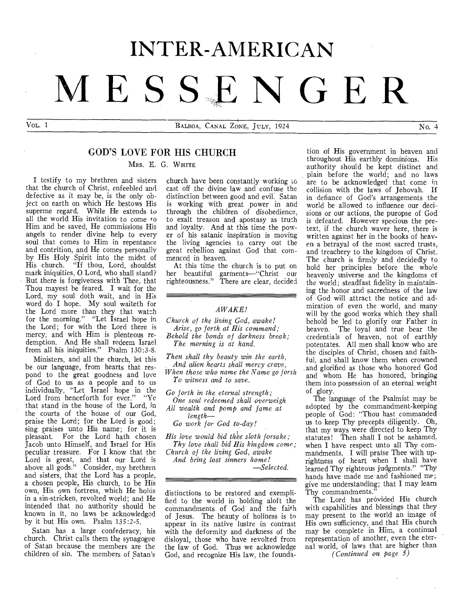# INTER-AMERICAN **MESS,E NGER**

 $V_{\text{OL}}$ . 1 BALBOA, CANAL ZONE, JULY, 1924  $\overline{N_{0.4}}$ 

# GOD'S LOVE FOR HIS CHURCH

MRS. E. G. WHITE

I testify to my brethren and sisters that the church of Christ, enfeebled and defective as it may be, is the only object on earth on which He bestows His supreme regard. While He extends to all the world His invitation to come to Him and be saved, He commissions His angels to render divine help to every soul that comes to Him in repentance and contrition, and He comes personally by His Holy Spirit into the midst of His church. "If thou, Lord, shouldst mark iniquities, 0 Lord, who shall stand? But there is forgiveness with Thee, that Thou mayest be feared. I wait for the Lord, my soul doth wait, and in His word do I hope. My soul waiteth for the Lord more than they that watch for the morning." "Let Israel hope in the Lord; for with the Lord there is mercy, and with Him is plenteous redemption. And He shall redeem Israel from all his iniquities." Psalm 130:3-8.

Ministers, and all the church, let this be our language, from hearts that respond to the great goodness and love of God to us as a people and to us individually, "Let Israel hope in the Lord from henceforth for ever." "Ye that stand in the house of the Lord, in the courts of the house of our God, praise the Lord; for the Lord is good; sing praises unto His name; for it is pleasant. For the Lord hath chosen Jacob unto Himself, and Israel for His peculiar treasure. For I know that the Lord is great, and that our Lord is above all gods." Consider, my brethren and sisters, that the Lord has a people, a chosen people, His church, to be His own, His own fortress, which He holds in a sin-stricken, revolted world; and He intended that no authority should be known in it, no laws be acknowledged by it but His own. Psalm 135:2-5.

Satan has a large confederacy, his church. Christ calls them the synagogue of Satan because the members are the children of sin. The members of Satan's

church have been constantly working to cast off the divine law and confuse the distinction between good and evil. Satan is working with great power in and through the children of disobedience, to exalt treason and apostasy as truth and loyalty. And at this time the power of his satanic inspiration is moving the living agencies to carry out the great rebellion against God that commenced in heaven.

At this time the church is to put on her beautiful garrnents—"Christ our righteousness." There are clear, decided

#### *AWAKE!*

*Church of the living God, awake! Arise, go forth at His command; Behold the bonds of darkness break;* 

*The morning is at hand.* 

*Then shall thy beauty win the earth, And alien hearts shall mercy crave,* 

*When those who name the Name go forth To witness and to save.* 

*Go forth in the eternal strength;* 

*One soul redeemed shall overweigh All wealth and pomp and fame at length—* 

*Go work for God to-day!* 

His love would bid thee sloth forsake; *Thy love shall bid His kingdom come;* 

*Church of the living God, awake And bring lost sinners home!* 

*—Selected.* 

distinctions to be restored and exemplified to the world in holding aloft the commandments of God and the faith of Jesus. The beauty of holiness is to appear in its native lustre in contrast with the deformity and darkness of the disloyal, those who have revolted from the law of God. Thus we acknowledge God, and recognize His law, the founda-

tion of His government in heaven and throughout His earthly dominions. His authority should be kept distinct and plain before the world; and no laws are to be acknowledged that come in collision with the laws of Jehovah. If in defiance of God's arrangements the world be allowed to influence our decisions or our actions, the puropse of God is defeated. However specious the pretext, if the church waver here, there is written against her in the books of heaven a betrayal of the most sacred trusts, and treachery to the kingdom of Christ. The church is firmly and decidedly to hold her principles before the whole heavenly universe and the kingdoms of the world; steadfast fidelity in maintaining the honor and sacredness of the law of God will attract the notice and admiration of even the world, and many will by the good works which they shall behold be led to glorify our Father in heaven. The loyal and true bear the credentials of heaven, not of earthly potentates. All men shall know who are the disciples of Christ, chosen and faithful, and shall know them when crowned and glorified as those who honored God and whom He has honored, bringing them into possession of an eternal weight of glory.

The language of the Psalmist may be adopted by the commandment-keeping people of God: "Thou hast commanded us to keep Thy precepts diligently. Oh, that my ways were directed to keep Thy statutes! Then shall I not be ashamed. when I have respect unto all Thy commandments. I will praise Thee with uprightness of heart when I shall have learned Thy righteous judgments." "Thy hands have made me- and fashioned me; give me understanding; that I may learn Thy commandments."

The Lord has provided His church with capabilities and blessings that they may present to the world an image of His own sufficiency, and that His church may be complete in Him, a continual representation of another, even the eternal world, of laws that are higher than *(Continued on page 5)*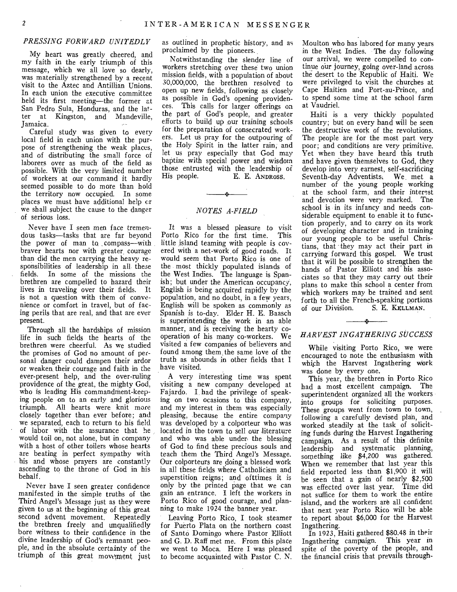# *PRESSING FORWARD UNITEDLY*

My heart was greatly cheered, and my faith in the early triumph of this message, which we all love so dearly, was materially strengthened by a recent visit to the Aztec and Antillian Unions. In each union the executive committee held its first meeting—the former at San Pedro Sula, Honduras, and the latter at Kingston, and Mandeville, Jamaica.

Careful study was given to every local field in each union with the purpose of strengthening the weak places, and of distributing the small force of laborers over as much of the field as possible. With the very limited number of workers at our command it hardly seemed possible to do more than hold the territory now occupied. In some places we must have additional help cr we shall subject the cause to the danger of serious loss.

Never have I seen men face tremendous tasks—tasks that are far beyond the power of man to compass—with braver hearts nor with greater courage than did the men carrying the heavy responsibilities of leadership in all these fields. In some of the missions the brethren are compelled to hazard their lives in traveling over their fields. It is not a question with them of convenience or comfort in travel, but of facing perils that are real, and that are ever present.

Through all the hardships of mission life in such fields the hearts of the brethren were cheerful. As we studied the promises of God no amount of personal danger could dampen their ardor or weaken, their courage and faith in the ever-present help, and the over-ruling providence of the great, the mighty God, who is leading His commandment-keeping people on to an early and glorious triumph. All hearts were knit more closely together than ever before; and we separated, each to return to his field of labor with the assurance that he would toil on, not alone, but in company with a host of other toilers whose hearts are beating in perfect sympathy with his and whose prayers are constantly ascending to the throne of God in his behalf.

Never have I seen greater confidence manifested in the simple truths of the Third Angel's Message just as they were given to us at the beginning of this great second advent movement. Repeatedly the brethren freely and unqualifiedly bore witness to their confidence in the divine leadership of God's remnant people, and in the absolute certainty of the triumph of this great movement just

as outlined in prophetic history, and as proclaimed by the pioneers.

Notwithstanding the slender line of workers stretching over these two union mission fields, with a population of about 30,000,000, the brethren resolved-to open up new fields, following as closely as possible in God's opening providences. This calls for larger offerings on the part, of God's people, and greater efforts to build up our training schools for the preparation of consecrated workers. Let us pray for the outpouring of the Holy Spirit in the latter rain, and let us pray especially that God may baptize with special power and wisdom those entrusted with the leadership of<br>His people. E. E. ANDROSS. E. E. ANDROSS.

# *NOTES A-FIELD*

÷.

It was a blessed pleasure to visit<br>orto Rico for the first time. This Porto Rico for the first time. little island teaming with people is covered with a net-work of good roads. It would seem that Porto Rico is one of the most thickly populated islands of the West Indies. The language is Spanish; but under the American occupancy, English is being acquired rapidly by the population, and no doubt, in a few years, English will be spoken as commonly as Spanish is to-day. Elder H. E. Baasch is superintending the work in an able manner, and is receiving the hearty cooperation of his many co-workers. We visited a few companies of believers and found among them the same love of the truth as abounds in other fields that I have visited.

A very interesting time was spent visiting a new company developed at Fajardo. I had the privilege of speaking on two ocasions to this company, and my interest in them was especially pleasing, because the entire company was developed by a colporteur who was located in the town to sell our literature and who was able under the blessing of God to find these precious souls and teach them the Third Angel's Message. Our colporteurs are doing a blessed work in all these fields where Catholicism and superstition reigns; and ofttimes it is only by the printed page that we can gain an entrance. I left the workers in Porto Rico of good courage, and planning to make 1924 the banner year.

Leaving Porto Rico, I took steamer for Puerto Plata on the northern coast of Santo Domingo where Pastor Elliott and G. D. Raff met me. From this place we went to Moca. Here I was pleased to become acquainted with Pastor C. N. Moulton who has labored for many years in the West Indies. The day following our arrival, we were compelled to continue our journey, going over-land across the desert to the Republic of Haiti. We were privileged to visit the churches at Cape Haitien and Port-au-Prince, and to spend some time at the school farm at Vaudriel.

Haiti is a very thickly populated country; but on every hand will be seen the destructive work of the revolutions. The people are for the most part very poor; and conditions are very primitive. Yet when they have heard this truth and have given themselves to God, they develop into very earnest, self-sacrificing Seventh-day Adventists. We, met a number of the young people working at the school farm, and their interest and devotion were very marked. The school is in its infancy and needs considerable equipment to enable it to function properly, and to carry on its work of developing character and in training our young people to be useful Christians, that they may act their part in carrying forward this gospel. We trust that it will be possible to strengthen the hands of Pastor Elliott and his associates so that they may carry out their plans to make this school a center from which workers may be trained and sent forth to all the French-speaking portions of our Division. S. E. KELLMAN.

# $\mathbf{r}$ *HARVEST INGATHERING SUCCESS*

While visiting Porto Rico, we were encouraged to note the enthusiasm with which the Harvest Ingathering Work was done by every one.

This year, the brethren in Porto Rico had a most excellent campaign. The superintendent organized all the workers into groups for soliciting purposes. These groups went from town to town, following a carefully devised plan, and worked steadily at the task of soliciting funds during the Harvest Ingathering campaign. As a result of this definite leadership and systematic planning, something like \$4,200 was gathered. When we remember that last year this field reported less than \$1,900 it will be seen that a gain of nearly \$2,500 was effected over last year. Time did not suffice for them to work the entire island, and the workers are all confident that next year Porto Rico will be able to report about \$6,000 for the Harvest Ingathering.

In 1923, Haiti gathered \$80.48 in their<br>gathering campaign. This year in Ingathering campaign. spite of the poverty of the people, and the financial crisis that prevails through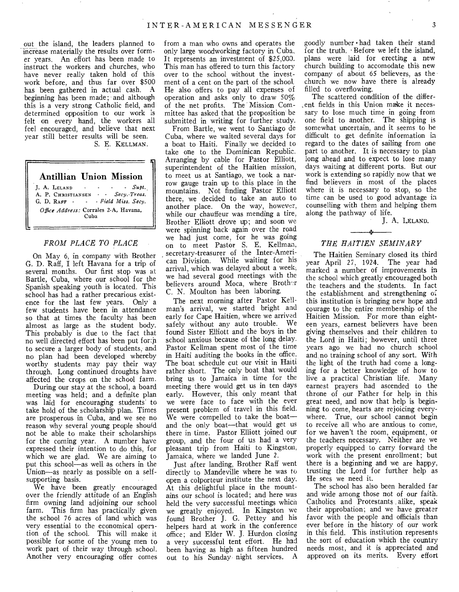out the island, the leaders planned to increase materially the results over former years. An effort has been made to instruct the workers and churches, who have never really taken hold of this work before, and thus far over \$500 has been gathered in actual cash. A beginning has been made; and although this is a very strong Catholic field, and determined opposition to our work is felt on every hand, the workers all feel encouraged, and believe that next year still better results will be seen. *S. E.* KELLMAN.

Antillian Union Mission  $J. A. LELAND$  - -  $Supt.$ A. P. CHRISTIANSEN - - *Secy.-Treas.*  G. D. RAFF - - *· Field Miss. Secy. Office Address:* Corrales 2-A, Havana, Cuba

#### *FROM PLACE TO PLACE*

On May 6, in company with Brother G. D. Raff, I left Havana for a trip of several months. Our first stop was at Bartle, Cuba, where our school for the Spanish speaking youth is located. This school has had a rather precarious existence for the last few years. Only a few students have been in attendance so that at times the faculty has been almost as large as the student body. This probably is due to the fact that no well directed effort has been put forth to secure a larger body of students, and no plan had been developed whereby worthy students may pay their way through. Long continued droughts have affected the crops on the school farm.

During our stay at the school, a board meeting was held; and a definite plan was laid for encouraging students' to take hold of the scholarship plan. Times are prosperous in Cuba, and we see no reason why several young people should not be able to make their scholarships for the coming year. A number have expressed their intention to do this, for which we are glad. We are aiming to put this school—as well as others in the Union—as nearly as possible on a selfsupporting basis.

We have been greatly encouraged over the friendly attitude of an English firm owning land adjoining our school farm. This firm has practically given the school 76 acres of land which was very essential to the economical opention of the school. This will make it possible for some of the young men to work part of their way through school. Another very encouraging offer comes

from a man who owns and operates the only large woodworking factory in Cuba. It represents an investment of \$25,000. This man has offered to turn this factory over to the school without the investment of a cent on the part of the school, He also offers to pay all expenses of operation and asks only to draw 50% of the net profits. The Mission Committee has asked that the proposition be submitted in writing for further study.

From Bartle, we went to Santiago de Cuba, where we waited several days for a boat to Haiti. Finally we decided to take one to the Dominican Republic. Arranging by cable for Pastor Elliott, superintendent of the Haitien mission, to meet us at Santiago, we took a narrow gauge train up to this place in the mountains. Not finding Pastor Elliott there, we decided to take an auto to another place. On the way, however, while our chauffeur was mending a tire, Brother Elliott drove up; and soon we were spinning back again over the road we had just come, for he was going on to meet Pastor S. E. Kellman, secretary-treasurer of the Inter-American Division. While waiting for his arrival, which was delayed about a week; we had several good meetings with the believers around Moca, where Brother C. N. Moulton has been laboring.

The next morning after Pastor Kellman's arrival, we started bright and early for Cape Haitien, where we arrived safely without any auto trouble. We found Sister Elliott and the boys in the school anxious because of the long delay. Pastor Kellman spent most of the time in Haiti auditing the books in the office. The boat schedule cut our visit in Haiti rather short. The only boat that would bring us to Jamaica in time for the meeting there would get us in ten days early. However, this only meant that we were face to face with the ever present problem of travel in this field. We were compelled to take the boat and the only boat—that would get us there in time. Pastor Elliott joined our group, and the four of us had a very pleasant trip from Haiti to Kingston, Jamaica, where we landed June 2.

Just after landing, Brother Raff went directly to Mandeville where he was to open a colporteur institute the next day. At this delightful place in the mountains our school is located; and here was held the very successful meetings which we greatly enjoyed. In Kingston we found Brother J. G. Pettey and his helpers hard at work in the conference office; and Elder W. J. Hurdon closing a very successful tent effort. He had been having as high as fifteen hundred out to his Sunday night services. A

goodly number • had taken their stand for the truth. • Before we left the island, plans were laid for erecting a new church building to accomodate this new company of about 65 believers, as the church we now have there is already filled to overflowing.

The scattered condition of the different fields in this Union make it necessary to lose much time in going from one field to another. The shipping is somewhat uncertain, and it seems to he difficult to get definite information in regard to the dates of sailing from one part to another. It is necessary to plan long ahead and to expect to lose many days waiting at different ports. But our work is extending so rapidly now that we find believers in most of the places where it is necessary to stop, so the time can be used to good advantage in counselling with them and helping them along the pathway of life.

J. A. LELAND.

# *THE HAITIEN SEMINARY*

The Haitien Seminary closed its third year April 27, 1924. The year had marked a number of improvements in the school which greatly encouraged both the teachers and the students. In fact the establishment and strengthening o; this institution is bringing new hope and courage to the entire membership of the Haitien Mission. For more than eighteen years, earnest believers have been giving themselves and their children to the Lord in Haiti; however, until three years ago we had no church school and no training school of any sort. With the light of the truth had come a longing for a better knowledge of how to live a practical Christian life. Many earnest prayers had ascended to the throne of our Father for help in this great need, and now that help is beginning to come, hearts are rejoicing everywhere. True, our school cannot begin to receive all who are anxious to come, for we haven't the room, equipment, or the teachers necessary. Neither are we properly equipped to carry forward the work with the present enrollment; but there is a beginning and we are happy, trusting the Lord for further help as He sees we need it.

The school has also been heralded far and wide among those not of our faith. Catholics and Protestants . alike, speak their approbation; and we have greater favor with the people and officials than ever before in the history of our work in this field. This institution represents the sort of education which the country needs most, and it is appreciated and approved on its merits. Every effort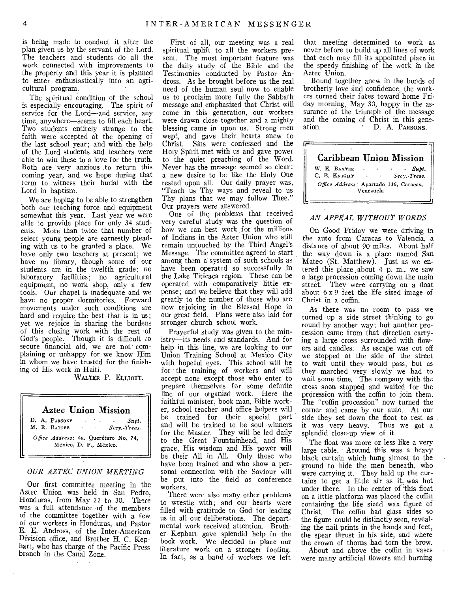is being made to conduct it after the plan given us by the servant of the Lord. The teachers and students do all the work connected with improvements to the property and this year it is planned to enter enthusiastically into an agricultural program.

The spiritual condition of the school is especially encouraging. The spirit of service for the Lord—and service, any time, anywhere—seems to fill each heart. Two students entirely strange to the faith were accepted at the opening of the last school year; and with the help of the Lord students and teachers were able to win these to a love for the truth. Both are very anxious .to return this coming year, and we hope during that term to witness their burial with the Lord in baptism.

We are hoping to be able to strengthen both our teaching force and equipment somewhat this year. Last year we were able to provide place for only 34 students. More than twice that number of select young people are earnestly pleading with us to be granted a place. We have only two teachers at present; we have no library, though some of our students are in the twelfth grade; no laboratory facilities; no agricultural equipment, no work shop, only a few tools. Our chapel is inadequate and we have no proper dormitories. Forward movements under such conditions are hard and require the best that is in us; yet we rejoice in sharing the burdens of this closing work with the rest •cf God's people. Though it is difficult to secure financial aid, we are not complaining or unhappy for we know Him in whom we have trusted for the finishing of His work in Haiti.

WALTER P. ELLIorr.

# Aztec Union Mission D. A. PARSONS - Supt.<br>M. R. BATTEE - Secv.-Treas.  $Secy.$ -Treas. Office Address: 4a. Querétaro No. 74, México, D. F., México.

## *OUR AZTEC UNION MEETING*

Our first committee meeting in the Aztec Union was held in San Pedro, Honduras, from May 22 to 30. There was a full attendance of the members of the committee together with a few of our workers in Honduras; and Pastor E. E. Andross, of the • Inter-American Division office, and Brother H. C. Kephart, who has charge of the Pacific Press branch in the Canal Zone.

First of all, our meeting was a real spiritual uplift to all the workers present. The most important feature was the daily study of the Bible and the Testimonies conducted by Pastor Andross. As he brought before us the real need of the human soul now to enable us to proclaim more fully the Sabbath message and emphasized that Christ will come in this generation, our workers were drawn close together and a mighty blessing came in upon us. Strong men wept, and gave their hearts anew to Christ. Sins were confessed and the Holy Spirit met with us and gave power to the quiet preaching of the Word. Never has the message seemed so clear: a new desire to be like the Holy One rested upon all. Our daily prayer was, "Teach us Thy ways and reveal to us Thy plans that we may follow Thee.' Our prayers were answered.

One of the, problems that received very careful study was the question of how we can best work for the millions of Indians in the Aztec Union who still remain untouched by the Third Angel's Message. The committee agreed to start among them a system of such schools as have been operated so successfully in the Lake Titicaca region. These can be operated with comparatively little expense; and we believe that they will add greatly to the number of those who are now rejoicing in the Blessed Hope in our great field. Plans were also laid for stronger church school work.

Prayerful study was given to the ministry—its needs and standards. And for help in this line, we are looking to our Union Training School at Mexico City with hopeful eyes. This school will be for - the training of workers and will accept none except those who enter to prepare themselves for some definite line of our organizd work. Here the faithful minister, book man, Bible worker, school teacher and office helpers will be trained for their special part and will be trained to be soul winners for the Master. They will be led daily to the Great Fountainhead, and His grace, His wisdom and His power will be their All in All. Only those who have been trained and who show a personal connection with the Saviour will be put into the field as conference workers.

There were also many other problems to wrestle with; and our hearts were filled with gratitude to God for leading us in all our deliberations. The departmental work received attention. Brother Kephart gave splendid help in the book work. We decided to place our literature work on a stronger footing. In fact, as a band of workers we left

that meeting determined to work as never before to build up all lines of work that each may fill its appointed place in the speedy finishing of the work in the Aztec Union.

Bound together anew in the bonds of brotherly love and confidence, the workers turned their faces toward home Friday morning, May 30, happy in the assurance of the triumph of the message and the coming of Christ in this gene-<br>ation  $\overrightarrow{D}$  A PARSONS D. A. PARSONS.

|                                                     | <b>Caribbean Union Mission</b> |  |  |  |
|-----------------------------------------------------|--------------------------------|--|--|--|
| W. E. BAXTER<br>C. E. KNIGHT                        | - Supt.<br>Secv. Treas.        |  |  |  |
| Office Address: Apartado 136, Caracas,<br>Venezuela |                                |  |  |  |

#### *AN APPEAL WITHOUT WORDS*

On Good Friday we were driving in the auto from Caracas to Valencia, a distance of about 90 miles. About half the way down is a place named San Mateo (St. Matthew). Just as we entered this place about 4 p. m., we saw a large procession coming down the main street. They were carrying on a float about 6 x 9 feet the life sized image of Christ in a coffin.

As there was no room to pass we turned up a side street thinking to go round by another way; but another procession came from that direction carrying a large cross surrounded with flowers and candles. As escape was cut off we stopped at the side of the street to wait until they would pass, but as they marched very slowly we had to wait some time. The company with the cross soon stopped and waited for the procession with the, coffin to join them. The "coffin procession" now turned the corner and came by our auto. At our side they set down the float to rest as . it was very heavy. Thus we got a splendid close-up view of it.

The float was more or less like a very large table. Around this was a heavy black curtain which hung almost to the ground to hide the men beneath, who were carrying it. They held up the curtains to get a little air as it was hot under there. In the center of this float on a little platform was placed the coffin containing the life sized wax figure of Christ. The coffin had glass sides so the figure could be distinctly seen, revealing the nail prints in the hands and feet, the spear thrust in his side, and where the crown of thorns had torn the brow. About and above the coffin in vases were many artificial flowers and burning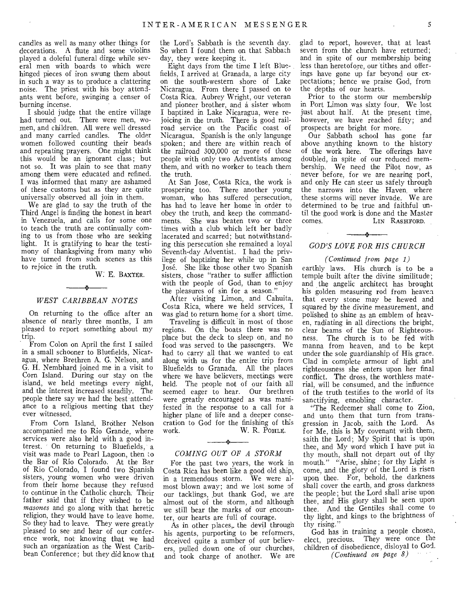candles as well as many other things for decorations. A flute and some violins played a doleful funeral dirge while several men with boards to which were hinged pieces of iron swung them about in such a way as to produce a clattering noise. The priest with his boy attendants went before, swinging a censer of burning incense.

I should judge that the entire village had turned out. There were men, women, and children. All were well dressed and many carried candles. The older women followed counting their beads and repeating prayers. One might think this would be an ignorant class; but not so. It was plain to see that many among them were educated and refined. I was informed that many are ashamed of these customs but as they are quite universally observed all join in them.

We are glad to say the truth of the Third Angel is finding the honest in heart in Venezuela, and calls for some one to teach the truth are continually coming to us from those who are seeking light. It is gratifying to hear the testimony of thanksgiving from many who have turned from such scenes as this to rejoice in the truth.

W: E. BAXTER.

# s. *WEST CARIBBEAN NOTES*

On returning to the office after an absence of nearly three months, I am pleased to report something about my trip.

From Colon on April the first I sailed in a small schooner to Bluefields, Nicaragua, where Brethren A. G. Nelson, and G. H. Nembhard joined me in a visit to Corn Island. During our stay on the island, we held meetings every night, and the interest increased steadily. The people there say we had the best attendance to a religious meeting that they ever witnessed.

From Corn Island, Brother Nelson accompanied me to Rio Grande, where services were also held with a good interest. On returning to Bluefields, a visit was made to Pearl Lagoon, then io the Bar of Rio Colorado. At the Bar of Rio Colorado, I found two Spanish sisters, young women who were driven from their home because they refused to continue in the Catholic church. Their father said that if they wished to be *masones* and go along with that heretic religion, they would have to leave home. So they had to leave. They were greatly pleased to see and hear of our conference work, not knowing that we had such an organization as the West Caribbean Conference; but they did know that

the Lord's Sabbath is the seventh day. So when I found them on that Sabbath day, they were keeping it.

Eight days from the time I left Bluefields, I arrived at Granada, a large city on the south-western shore of Lake Nicaragua. From there I passed on to Costa Rica. Aubrey Wright, our veteran and pioneer brother, and a sister whom I baptized in Lake Nicaragua, were rejoicing in the truth. There is good railroad service on the Pacific coast of Nicaragua. Spanish is the only language spoken; and there are within reach of the railroad 300,000 or more of these people with only two Adventists among them, and with no worker to teach them the truth.

At San Jose, Costa Rica, the work is prospering too. There another young woman, who has suffered persecution, has had to leave her home in order to obey the truth, and keep the commandments. She was beaten two or three times with a club which left her badly lacerated and scarred; but notwithstanding this persecution she remained a loyal Seventh-day Adventist. I had the privilege of baptizing her while up in San Jose. She like those other two Spanish sisters, chose "rather to suffer affliction with the people of God, than to enjoy the pleasures of sin for a season."

After visiting Limon, and Cahuita, Costa Rica, where we held services, I was glad to return home for a short time.

Traveling is difficult in most of those regions. On the boats there was no place but the deck to sleep on, and no food was served to the passengers. We had to carry all that we wanted to eat along with us for the entire trip from Bluefields to Granada. All the places where we have believers, meetings were held. The people not of our faith all seemed eager to hear. Our brethren were greatly encouraged as was manifested in the response to a call for a higher plane of life and a deeper consecration to God for the finishing of this W. R. POHLE.

# $\rightarrow$ *COMING OUT OF A STORM*

For the past two years, the work in Costa Rica has been like a good old ship, in a tremendous storm. We were almost blown away; and we lost some of our tacklings, but thank God, we are almost out of the storm, and although we still bear the marks of our encounter, our hearts are full of courage.

As in other places,, the devil through his agents, purporting to be reformers, deceived quite a number of our believers, pulled down one of our churches, and took charge of another. We are

glad to report, however, that at least seven from the church have returned; and in spite of our membership being less than heretofore, our tithes and offerings have gone up far beyond our expectations; hence we praise God, from the depths of our hearts.

Prior to the storm our membership in Port Limon was sixty four. We lost just about half. At the present time, however, we have reached fifty; and prospects are bright for more.

Our Sabbath school has gone far above anything known to the history of the work here. The offerings have doubled, in spite of our reduced membership. We need the Pilot now, as never before, for we are nearing port, and only He can steer us safely through the narrows into the Haven, where these storms will never invade. We are determined to be true and faithful until the good work is done and the Master<br>comes. LIN RASHFORD. LIN RASHFORD.

# *GOD'S LOVE FOR HIS CHURCH*

 $\frac{1}{2}$ 

#### *(Continued from page 1)*

earthly laws. His church is to be a temple built after the divine similitude; and the angelic architect has brought his golden measuring rod from heaven that every stone may be hewed and squared by the divine measurement, and polished to shine as an emblem of heaven, radiating in all directions the bright, clear beams of the Sun of Righteousness. The church is to be fed with manna from heaven, and to be kept under the sole guardianship of His grace. Clad in complete armour of light and righteousness she enters upon her final conflict. The dross, the worthless material, will be consumed, and the influence of the truth testifies to the world of its sanctifying, ennobling character.

"The Redeemer shall come to Zion, and unto them that turn from transgression in Jacob, saith the Lord. As for Me, this is My covenant with them, saith the Lord; My Spirit that is upon thee, and My word which I have put in thy mouth, shall not depart out of thy mouth." "Arise, shine; for thy Light *is*  come, and the glory of the Lord is risen upon thee. For, behold, the darkness shall cover the earth, and gross darkness the people; but the Lord shall arise upon thee, and His glory shall be seen upon thee. And the Gentiles shall come to thy light, and kings to the brightness of thy rising."

God has in training a people chosen, elect, precious. They were once the children of disobedience, disloyal to God. *(Continued on page 8)*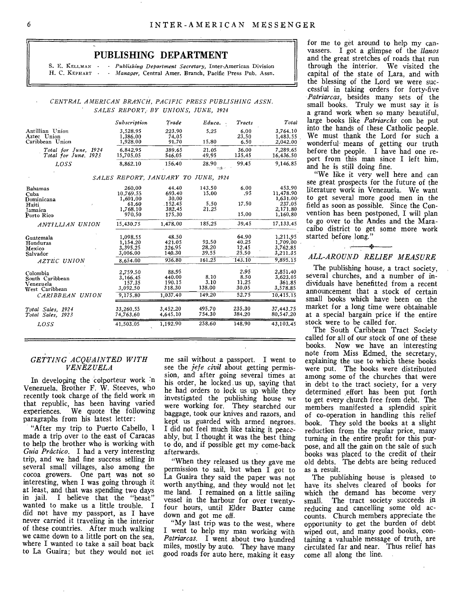# PUBLISHING DEPARTMENT

S. E. KELLMAN - *Publishing Department Secretary*, Inter-American Division H. C. KEPHART - *Manager*. Central Amer. Branch. Pacific Press Pub. Assn. - *Manager*, Central Amer. Branch, Pacific Press Pub. Assn.

#### *CENTRAL AMERICAN BRANCH, PACIFIC PRESS PUBLISHING ASSN. SALES REPORT,,BY UNIONS, JUNE, 1924*

|                                                                               | Subscription                                                   | Trade                                                   | Educa.<br>$\rightarrow$           | Tracts                                     | Total                                                             |
|-------------------------------------------------------------------------------|----------------------------------------------------------------|---------------------------------------------------------|-----------------------------------|--------------------------------------------|-------------------------------------------------------------------|
| Antillian Union<br>Aztec Union<br>Caribbean Union                             | 3,528.95<br>1,386.00<br>1,928.00                               | 223.90<br>74.05<br>91.70                                | 5.25<br>15.80                     | 6.00<br>23.50<br>6.50                      | 3,764.10<br>1.483.55<br>2,042.00                                  |
| Total for June, 1924<br>Total for June, 1923                                  | 6.842.95<br>15,705.05                                          | 389.65<br>546.05                                        | 21.05<br>49.95                    | 36.00<br>135.45                            | 7.289.65<br>16,436.50                                             |
| <i>LOSS</i>                                                                   | 8.862.10                                                       | 156.40                                                  | 28.90<br>si Arre                  | 99.45                                      | 9,146.85                                                          |
|                                                                               | SALES REPORT, JANUARY TO JUNE, 1924                            |                                                         |                                   |                                            |                                                                   |
| <b>Bahamas</b><br>Cuba<br>Dominicana<br>Harti<br>Tamaica<br>Porto Rico        | 260.00<br>10.769.55<br>1,601.00<br>61.60<br>1.768.10<br>970.50 | 44.40<br>693.40<br>30.00<br>.152.45<br>382,45<br>175.30 | 143.50<br>15.00<br>5.50<br>21.25  | 6.00<br>.95<br>17.50<br>15.00              | 453.90<br>11,478.90<br>1,631.00<br>237.05<br>2,171.80<br>1,160.80 |
| ANTILLIAN UNION                                                               | 15,430.75                                                      | 1,478.00                                                | 185.25                            | 39.45                                      | 17.133.45                                                         |
| Guatemala<br>Honduras<br>Mexico<br>Salvador<br>AZTEC UNION                    | 1.098.55<br>1,154.20<br>3,395.25<br>3.006.00<br>8.654.00       | 48.50<br>421.05<br>326.95<br>140.30<br>936.80           | 93.50<br>28.20<br>39.55<br>161.25 | 64.90<br>40.25<br>12.45<br>25.50<br>143.10 | 1,211.95<br>1,709,00<br>3,762.85<br>3,211.35<br>9.895.15          |
| Colombia<br>South Caribbean<br>Venezuela<br>West Caribbean<br>CARIBBEAN UNION | 2.759.50<br>3,166.45<br>157.35<br>3,092.50<br>9,175.80         | 88.95<br>440.00<br>190.15<br>318.30<br>1,037.40         | 8.10<br>3.10<br>138.00<br>149.20  | 2.95<br>8.50<br>11.25<br>30.05<br>52.75    | 2,851.40<br>3,623.05<br>361.85<br>3,578.85<br>10,415.15           |
| Total Sales, 1924<br>Total Sales, 1923                                        | 33,260,55<br>74,763,60                                         | 3,452,20<br>4,645.10                                    | 495.70<br>754.30                  | 235.30<br>384.20                           | 37,443,75<br>80,547.20                                            |
| <i>LOSS</i>                                                                   | 41,503.05                                                      | 1,192.90                                                | 258.60                            | 148.90                                     | 43.103.45                                                         |

### *GETTING ACQUAINTED WITH VENEZUELA*

In developing the colporteur work 'n Venezuela, Brother F. W. Steeves, who recently took charge of the field work in that republic, has been having varied experiences. We quote the following paragraphs from his latest letter:

"After my trip to Puerto Cabello, I made a trip over to the east of Caracas to help the brother who is working with *Guia Prdctico.* I had a very interesting trip, and we had fine success selling in several small villages, also among the cocoa growers. One part was not so interesting, when I was going through it at least, and that was spending two days in jail. I believe that the "beast wanted to make us a little trouble. I did not have my passport, as I have never carried it traveling in the interior of these countries. After much walking we came down to a little port on the sea, where I wanted to take a sail boat back to La Guaira; but they would not let

me sail without a passport. I went to see the *jefe civil* about getting permission, and after going several times at his order, he locked us up, saying that he had orders to lock us up while they investigated the publishing house we were working for. They searched our baggage, took our knives and razors, and kept us guarded with armed negroes. I did not feel much like taking it peaceably, but I thought it was the best thing to do, and if possible get my come-back afterwards.

"When they released us they gave me permission to sail, but when I got to La Guaira they said the paper was not worth anything, and they would not let me land. I remained on a little sailing vessel in the harbour for over twentyfour hours, until Elder Baxter came down and got me off.

"My last trip was to the west, where I went to help my man working with *Patriarcas.* I went about two hundred miles, mostly by auto. They have many good roads for auto here, making it easy

for me to get around to help my canvassers. I got a glimpse of the *Marcos*  and the great stretches of roads that run through the interior. We visited the capital of the state of Lara, and with the blessing of the Lord we were successful in taking orders for forty-five *Patriarcas,* besides many sets of the small books. Truly we must say it is a grand work when so many beautiful, large books like *Patriarchs* con be put into the hands of these Catholic people. We must thank the Lord for such a wonderful' means of getting our truth before the people. I have had one report from this man since I left him, and he is still doing fine.

"We like it very well here and can see great prospects for the future of the literature work in Venezuela. We want to get several more good men in the field as soon as possible. Since the Convention has been postponed, I will plan to go over to the Andes and the Maracaibo district to get some more work started before long."

# محد *ALL-AROUND RELIEF MEASURE*

The publishing house, a tract society, several churches, and a number of individuals have benefitted from a recent announcement that a stock of certain small books which have been on the market for a long time were obtainable at a special bargain price if the entire stock were to be called for.

The South Caribbean Tract Society called for all of our stock of one of these books. Now we have an interesting note from Miss Edmed, the secretary, explaining the use to which these books were put. The books were distributed among some of the churches that were in debt to the tract society, for a very determined effort has been put forth to get every church free from debt. The members manifested a splendid spirit of co-operation in handling this relief book. They sold the books at a slight reduction from the regular price, many turning in the entire profit for this purpose, and all the gain on the sale of such books was placed to the credit of their old debts. The debts are being reduced as a result.

The publishing house is pleased to have its shelves cleared of books for which the demand has become very small. The tract society succeeds in reducing and cancelling some old accounts. Church members appreciate the opportunity to get the burden of debt wiped out, and many good books, containing a valuable message of truth, are circulated far and near. Thus relief has come all along the line.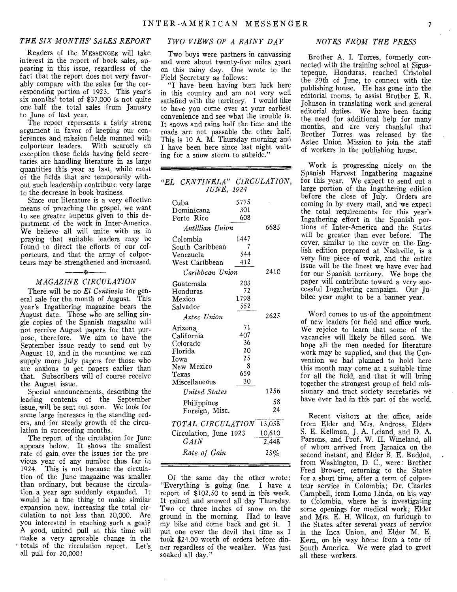### *THE SIX MONTHS' SALES REPORT TWO VIEWS OF A RAINY DAY NOTES FROM THE PRESS*

Readers of the MESSENGER will take interest in the report of book sales, appearing in this issue, regardless of the fact that the report does not very favorably compare with the sales for the corresponding portion of 1923. This year's six months' total of \$37,000 is not quite one-half the total sales from January to June of last year.

The report represents a fairly strong argument in favor of keeping our conferences and mission fields manned with colporteur leaders. With scarcely an exception those fields having field secretaries are handling literature in as large quantities this year as last, while most of the fields that are temporarily without such leadership contribute very large to the decrease in book business.

Since our literature is a very effective means of preaching the gospel, we want to see greater impetus given to this department of the work in Inter-America. We believe all will unite with us in praying that suitable leaders may be found to direct the efforts of our cofporteurs, and that the army of colporteurs may be strengthened and increased.

# *MAGAZINE CIRCULATION*

 $\overline{a}$ 

There will be no *El Centinela* for general sale for the month of August. This year's Ingathering magazine bears the August date. Those who are selling single copies of the Spanish magazine will not receive August papers for that purpose, therefore. We aim to have the September issue ready to send out by August 10, and in the meantime we can supply more July papers for those who are anxious to get papers earlier than that. Subscribers will of course receive the August issue.

Special announcements, describing the leading contents of the September issue, will be sent out soon. We look for some large increases in the standing orders, and for steady growth of the circulation in succeeding months.

The report of the circulation for June appears below. It shows the smallest rate of gain over the issues for the previous year of any number thus far ia 1924. This is not because the circulation of the June magazine was smaller than ordinary, but because the circulation a year ago suddenly expanded. It would be a fine thing to make similar expansion now, increasing the total circulation to not less than 20,000. Are you interested in reaching such a goal? A good, united pull at this time will make a very agreeable change in the totals of the circulation report. Let's all pull for 20,000!

Two boys were partners in canvassing and were about twenty-five miles apart on this rainy day. One wrote to the Field Secretary as follows:

"I have been- having bum luck here in this country and am not very well satisfied with the territory. I would like to have you come over at your earliest convenience and see what the trouble is. It snows and rains half the time and the roads are not passable the other half. This is 10 A. M. Thursday morning and I have been here since last night waiting for a snow storm to subside.'

*"EL CENTINELA" CIRCULATION,* 

| JUNE, 1924                         |             |      |  |  |  |
|------------------------------------|-------------|------|--|--|--|
| Cuba                               | 5775<br>301 |      |  |  |  |
| Dominicana<br>Porto Rico           | 608         |      |  |  |  |
| Antillian Union                    | 6685        |      |  |  |  |
| Colombia                           | 1447        |      |  |  |  |
| South Caribbean                    | 7           |      |  |  |  |
| Venezuela                          | 544         |      |  |  |  |
| West Caribbean                     | 412         |      |  |  |  |
| Caribbean Union                    | 2410        |      |  |  |  |
| Guatemala                          | 203         |      |  |  |  |
| Honduras                           | 72          |      |  |  |  |
| Mexico                             | 1798        |      |  |  |  |
| Salvador                           | 552         |      |  |  |  |
| Aztec Union                        |             | 2625 |  |  |  |
| Arizona                            | 71          |      |  |  |  |
| California                         | 407         |      |  |  |  |
| Colorado                           | 36          |      |  |  |  |
| Florida                            | 20<br>25    |      |  |  |  |
| Iowa.<br>New Mexico                | 8           |      |  |  |  |
| Texas                              | 659         |      |  |  |  |
| Miscellaneous                      | 30          |      |  |  |  |
| <b>United States</b>               |             | 1256 |  |  |  |
| Philippines                        |             | 58   |  |  |  |
| Foreign, Misc.                     |             | 24   |  |  |  |
| <i>TOTAL CIRCULATION</i><br>13,058 |             |      |  |  |  |
| Circulation, June 1923             | 10,610      |      |  |  |  |
| $_{GAIN}$                          | 2,448       |      |  |  |  |
| Rate of Gain                       |             | 23%  |  |  |  |

Of the same day the other wrote: "Everything is going fine. I have a report of \$102.50 to send in this week. It rained and snowed all day Thursday. Two or three inches of snow on the ground in the morning. Had to leave my bike and come back and get it. I put one over the devil that time as I took \$24.00 worth of orders before dinner regardless of the weather. Was just soaked all day."

Brother A. I. Torres, formerly connected with the training school at Siguatepeque, Honduras, reached Cristobal the 29th of June, to connect with the publishing house. He has gone into the editorial rooms, to assist Brother E. R. Johnson in translating work and general editorial duties. We have been facing the need for additional help for many months, and are very thankful that Brother Torres was released by the Aztec Union Mission to join the staff of workers in the publishing house.

Work is progressing nicely on the Spanish Harvest Ingathering magazine for this year. We expect to send out a large portion of the Ingathering edition before the close of July. Orders are coming in by every mail, and we expect the total requirements for this year's Ingathering effort in the Spanish portions of Inter-America and the States will be greater than ever before. The cover, similar to the cover on the English edition prepared at Nashville, is a very fine piece of work, and the entire issue will be the finest we have ever had for our Spanish territory. We hope the paper will contribute toward a very successful Ingathering campaign. Our Jubilee year ought to be a banner year.

Word comes to us of the appointment of new leaders for field and office work. We rejoice to learn that some of the vacancies will likely be filled soon. We hope all the men needed for literature work may be supplied, and that the Convention we had planned to hold here this month may come at a suitable time for all the field, and that it will bring together the strongest group of field missionary and tract society secretaries we have ever had in this part of the world.

Recent visitors at the office, aside from Elder and Mrs. Andross, Elders S. E. Kellman, J. A. Leland, and D. A. Parsons, and Prof. W. H. Wineland, all of whom arrived from Jamaica on the second instant, and Elder B. E. Beddoe, from Washington, D. C., were: Brother Fred Brower, returning to the States for a short time, after a term of colporteur service in Colombia; Dr. Charles Campbell, from Loma Linda, on his way to Colombia, where he is investigating some openings for medical work; Elder and Mrs. E. H. Wilcox, on furlough to the States after several years of service in the Inca Union, and Elder M. E. Kern, on his way home from a tour of South America. We were glad to greet all these workers.